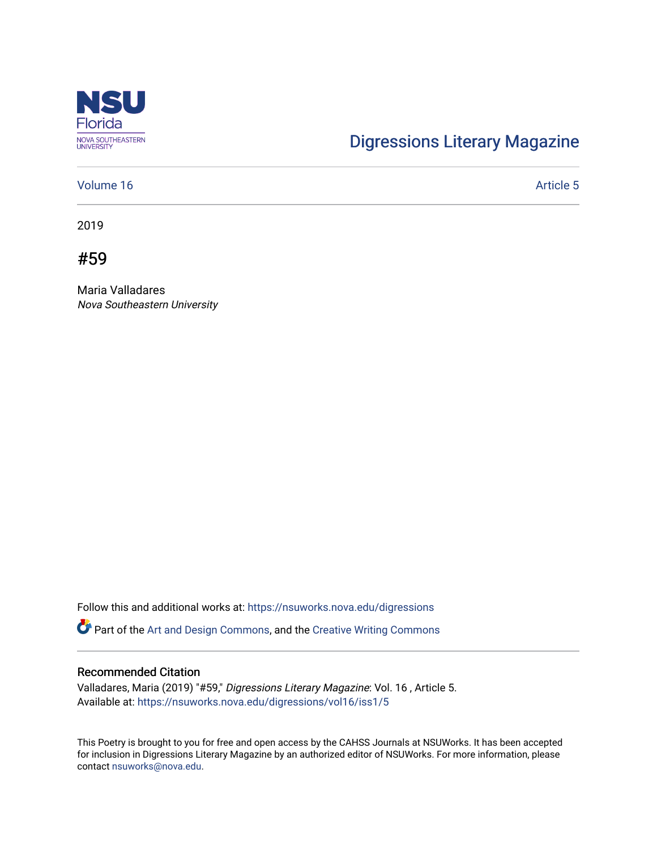

## [Digressions Literary Magazine](https://nsuworks.nova.edu/digressions)

## [Volume 16](https://nsuworks.nova.edu/digressions/vol16) Article 5

2019

#59

Maria Valladares Nova Southeastern University

Follow this and additional works at: [https://nsuworks.nova.edu/digressions](https://nsuworks.nova.edu/digressions?utm_source=nsuworks.nova.edu%2Fdigressions%2Fvol16%2Fiss1%2F5&utm_medium=PDF&utm_campaign=PDFCoverPages) 

Part of the [Art and Design Commons](http://network.bepress.com/hgg/discipline/1049?utm_source=nsuworks.nova.edu%2Fdigressions%2Fvol16%2Fiss1%2F5&utm_medium=PDF&utm_campaign=PDFCoverPages), and the [Creative Writing Commons](http://network.bepress.com/hgg/discipline/574?utm_source=nsuworks.nova.edu%2Fdigressions%2Fvol16%2Fiss1%2F5&utm_medium=PDF&utm_campaign=PDFCoverPages)

## Recommended Citation

Valladares, Maria (2019) "#59," Digressions Literary Magazine: Vol. 16 , Article 5. Available at: [https://nsuworks.nova.edu/digressions/vol16/iss1/5](https://nsuworks.nova.edu/digressions/vol16/iss1/5?utm_source=nsuworks.nova.edu%2Fdigressions%2Fvol16%2Fiss1%2F5&utm_medium=PDF&utm_campaign=PDFCoverPages) 

This Poetry is brought to you for free and open access by the CAHSS Journals at NSUWorks. It has been accepted for inclusion in Digressions Literary Magazine by an authorized editor of NSUWorks. For more information, please contact [nsuworks@nova.edu.](mailto:nsuworks@nova.edu)